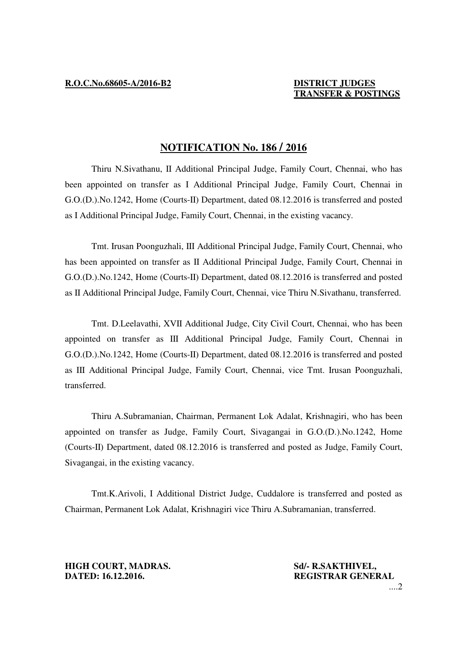# **TRANSFER & POSTINGS**

## **NOTIFICATION No. 186 / 2016**

 Thiru N.Sivathanu, II Additional Principal Judge, Family Court, Chennai, who has been appointed on transfer as I Additional Principal Judge, Family Court, Chennai in G.O.(D.).No.1242, Home (Courts-II) Department, dated 08.12.2016 is transferred and posted as I Additional Principal Judge, Family Court, Chennai, in the existing vacancy.

Tmt. Irusan Poonguzhali, III Additional Principal Judge, Family Court, Chennai, who has been appointed on transfer as II Additional Principal Judge, Family Court, Chennai in G.O.(D.).No.1242, Home (Courts-II) Department, dated 08.12.2016 is transferred and posted as II Additional Principal Judge, Family Court, Chennai, vice Thiru N.Sivathanu, transferred.

Tmt. D.Leelavathi, XVII Additional Judge, City Civil Court, Chennai, who has been appointed on transfer as III Additional Principal Judge, Family Court, Chennai in G.O.(D.).No.1242, Home (Courts-II) Department, dated 08.12.2016 is transferred and posted as III Additional Principal Judge, Family Court, Chennai, vice Tmt. Irusan Poonguzhali, transferred.

Thiru A.Subramanian, Chairman, Permanent Lok Adalat, Krishnagiri, who has been appointed on transfer as Judge, Family Court, Sivagangai in G.O.(D.).No.1242, Home (Courts-II) Department, dated 08.12.2016 is transferred and posted as Judge, Family Court, Sivagangai, in the existing vacancy.

Tmt.K.Arivoli, I Additional District Judge, Cuddalore is transferred and posted as Chairman, Permanent Lok Adalat, Krishnagiri vice Thiru A.Subramanian, transferred.

**HIGH COURT, MADRAS.** Sd/- R.SAKTHIVEL, **DATED: 16.12.2016. REGISTRAR GENERAL** 

....2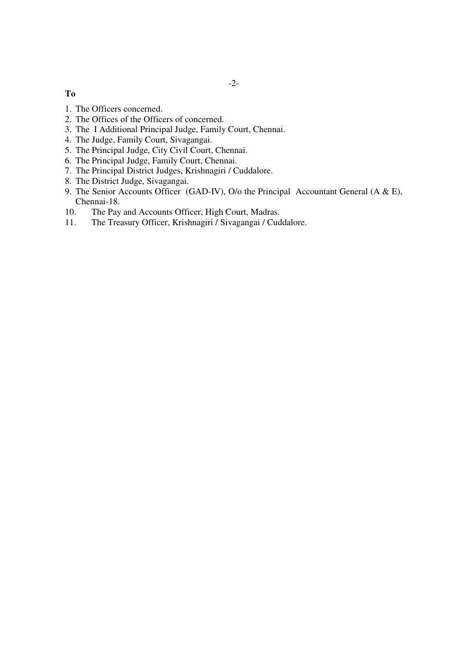### **To**

- 1. The Officers concerned.
- 2. The Offices of the Officers of concerned.
- 3. The I Additional Principal Judge, Family Court, Chennai.
- 4. The Judge, Family Court, Sivagangai.
- 5. The Principal Judge, City Civil Court, Chennai.
- 6. The Principal Judge, Family Court, Chennai.
- 7. The Principal District Judges, Krishnagiri / Cuddalore.
- 8. The District Judge, Sivagangai.
- 9. The Senior Accounts Officer (GAD-IV), O/o the Principal Accountant General (A & E), Chennai-18.
- 10. The Pay and Accounts Officer, High Court, Madras.
- 11. The Treasury Officer, Krishnagiri / Sivagangai / Cuddalore.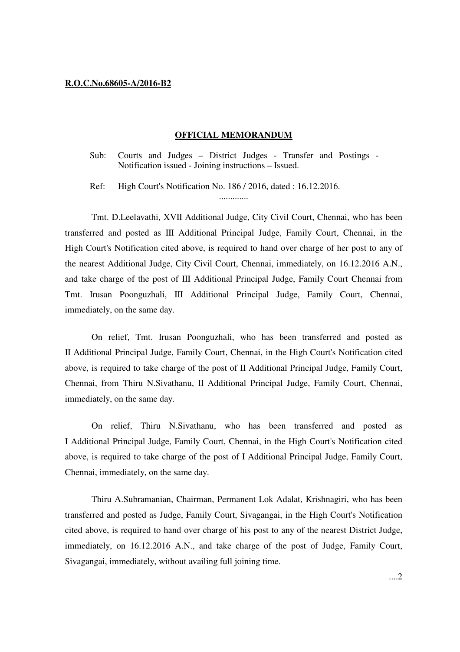#### **R.O.C.No.68605-A/2016-B2**

#### **OFFICIAL MEMORANDUM**

Sub: Courts and Judges – District Judges - Transfer and Postings - Notification issued - Joining instructions – Issued.

.............

Ref: High Court's Notification No. 186 / 2016, dated : 16.12.2016.

 Tmt. D.Leelavathi, XVII Additional Judge, City Civil Court, Chennai, who has been transferred and posted as III Additional Principal Judge, Family Court, Chennai, in the High Court's Notification cited above, is required to hand over charge of her post to any of the nearest Additional Judge, City Civil Court, Chennai, immediately, on 16.12.2016 A.N., and take charge of the post of III Additional Principal Judge, Family Court Chennai from Tmt. Irusan Poonguzhali, III Additional Principal Judge, Family Court, Chennai, immediately, on the same day.

On relief, Tmt. Irusan Poonguzhali, who has been transferred and posted as II Additional Principal Judge, Family Court, Chennai, in the High Court's Notification cited above, is required to take charge of the post of II Additional Principal Judge, Family Court, Chennai, from Thiru N.Sivathanu, II Additional Principal Judge, Family Court, Chennai, immediately, on the same day.

On relief, Thiru N.Sivathanu, who has been transferred and posted as I Additional Principal Judge, Family Court, Chennai, in the High Court's Notification cited above, is required to take charge of the post of I Additional Principal Judge, Family Court, Chennai, immediately, on the same day.

 Thiru A.Subramanian, Chairman, Permanent Lok Adalat, Krishnagiri, who has been transferred and posted as Judge, Family Court, Sivagangai, in the High Court's Notification cited above, is required to hand over charge of his post to any of the nearest District Judge, immediately, on 16.12.2016 A.N., and take charge of the post of Judge, Family Court, Sivagangai, immediately, without availing full joining time.